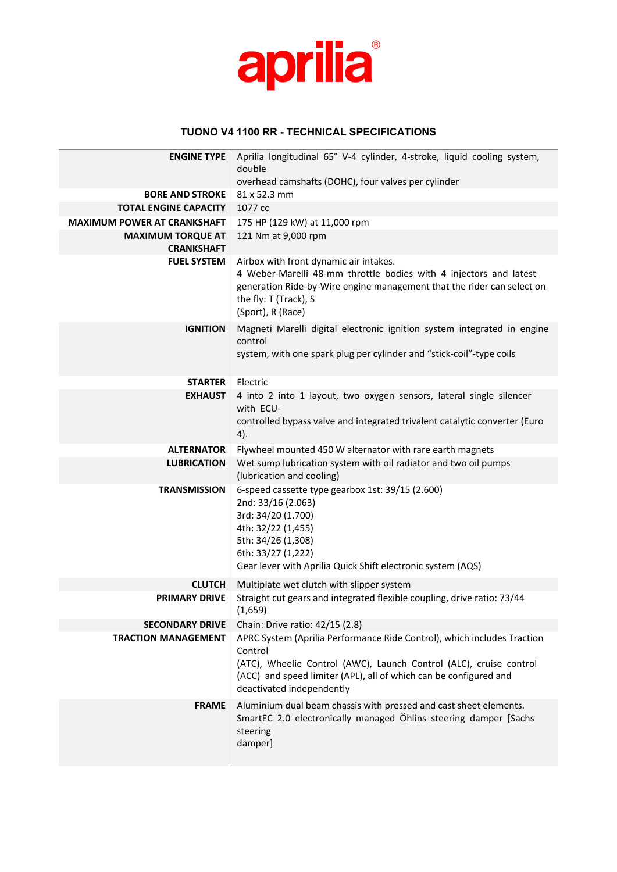

## **TUONO V4 1100 RR - TECHNICAL SPECIFICATIONS**

| <b>ENGINE TYPE</b>                 | Aprilia longitudinal 65° V-4 cylinder, 4-stroke, liquid cooling system,                                                                                                                                                                                    |
|------------------------------------|------------------------------------------------------------------------------------------------------------------------------------------------------------------------------------------------------------------------------------------------------------|
|                                    | double<br>overhead camshafts (DOHC), four valves per cylinder                                                                                                                                                                                              |
| <b>BORE AND STROKE</b>             | 81 x 52.3 mm                                                                                                                                                                                                                                               |
| <b>TOTAL ENGINE CAPACITY</b>       | 1077 cc                                                                                                                                                                                                                                                    |
| <b>MAXIMUM POWER AT CRANKSHAFT</b> | 175 HP (129 kW) at 11,000 rpm                                                                                                                                                                                                                              |
| <b>MAXIMUM TORQUE AT</b>           | 121 Nm at 9,000 rpm                                                                                                                                                                                                                                        |
| <b>CRANKSHAFT</b>                  |                                                                                                                                                                                                                                                            |
| <b>FUEL SYSTEM</b>                 | Airbox with front dynamic air intakes.<br>4 Weber-Marelli 48-mm throttle bodies with 4 injectors and latest<br>generation Ride-by-Wire engine management that the rider can select on<br>the fly: T (Track), S<br>(Sport), R (Race)                        |
| <b>IGNITION</b>                    | Magneti Marelli digital electronic ignition system integrated in engine<br>control<br>system, with one spark plug per cylinder and "stick-coil"-type coils                                                                                                 |
| <b>STARTER</b>                     | Electric                                                                                                                                                                                                                                                   |
| <b>EXHAUST</b>                     | 4 into 2 into 1 layout, two oxygen sensors, lateral single silencer<br>with ECU-<br>controlled bypass valve and integrated trivalent catalytic converter (Euro<br>4).                                                                                      |
| <b>ALTERNATOR</b>                  | Flywheel mounted 450 W alternator with rare earth magnets                                                                                                                                                                                                  |
| <b>LUBRICATION</b>                 | Wet sump lubrication system with oil radiator and two oil pumps<br>(lubrication and cooling)                                                                                                                                                               |
| <b>TRANSMISSION</b>                | 6-speed cassette type gearbox 1st: 39/15 (2.600)<br>2nd: 33/16 (2.063)<br>3rd: 34/20 (1.700)<br>4th: 32/22 (1,455)<br>5th: 34/26 (1,308)<br>6th: 33/27 (1,222)<br>Gear lever with Aprilia Quick Shift electronic system (AQS)                              |
| <b>CLUTCH</b>                      | Multiplate wet clutch with slipper system                                                                                                                                                                                                                  |
| <b>PRIMARY DRIVE</b>               | Straight cut gears and integrated flexible coupling, drive ratio: 73/44<br>(1,659)                                                                                                                                                                         |
| <b>SECONDARY DRIVE</b>             | Chain: Drive ratio: 42/15 (2.8)                                                                                                                                                                                                                            |
| <b>TRACTION MANAGEMENT</b>         | APRC System (Aprilia Performance Ride Control), which includes Traction<br>Control<br>(ATC), Wheelie Control (AWC), Launch Control (ALC), cruise control<br>(ACC) and speed limiter (APL), all of which can be configured and<br>deactivated independently |
| <b>FRAME</b>                       | Aluminium dual beam chassis with pressed and cast sheet elements.<br>SmartEC 2.0 electronically managed Öhlins steering damper [Sachs<br>steering<br>damper]                                                                                               |